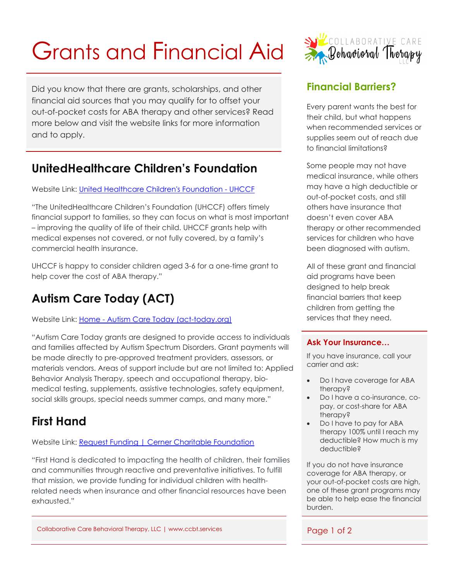# Grants and Financial Aid

Did you know that there are grants, scholarships, and other financial aid sources that you may qualify for to offset your out-of-pocket costs for ABA therapy and other services? Read more below and visit the website links for more information and to apply.

#### **UnitedHealthcare Children's Foundation**

Website Link: [United Healthcare Children's Foundation -](https://www.uhccf.org/) UHCCF

"The UnitedHealthcare Children's Foundation (UHCCF) offers timely financial support to families, so they can focus on what is most important – improving the quality of life of their child. UHCCF grants help with medical expenses not covered, or not fully covered, by a family's commercial health insurance.

UHCCF is happy to consider children aged 3-6 for a one-time grant to help cover the cost of ABA therapy."

# **Autism Care Today (ACT)**

Website Link: Home - Autism Care [Today \(act-today.org\)](https://www.act-today.org/)

"Autism Care Today grants are designed to provide access to individuals and families affected by Autism Spectrum Disorders. Grant payments will be made directly to pre-approved treatment providers, assessors, or materials vendors. Areas of support include but are not limited to: Applied Behavior Analysis Therapy, speech and occupational therapy, biomedical testing, supplements, assistive technologies, safety equipment, social skills groups, special needs summer camps, and many more."

# **First Hand**

Website Link: [Request Funding | Cerner Charitable Foundation](https://www.cernercharitablefoundation.org/request-funding/)

"First Hand is dedicated to impacting the health of children, their families and communities through reactive and preventative initiatives. To fulfill that mission, we provide funding for individual children with healthrelated needs when insurance and other financial resources have been exhausted."

Collaborative Care Behavioral Therapy, LLC | www.ccbt.services Page 1 of 2



#### **Financial Barriers?**

Every parent wants the best for their child, but what happens when recommended services or supplies seem out of reach due to financial limitations?

Some people may not have medical insurance, while others may have a high deductible or out-of-pocket costs, and still others have insurance that doesn't even cover ABA therapy or other recommended services for children who have been diagnosed with autism.

All of these grant and financial aid programs have been designed to help break financial barriers that keep children from getting the services that they need.

#### **Ask Your Insurance…**

If you have insurance, call your carrier and ask:

- Do I have coverage for ABA therapy?
- Do I have a co-insurance, copay, or cost-share for ABA therapy?
- Do I have to pay for ABA therapy 100% until I reach my deductible? How much is my deductible?

If you do not have insurance coverage for ABA therapy, or your out-of-pocket costs are high, one of these grant programs may be able to help ease the financial burden.